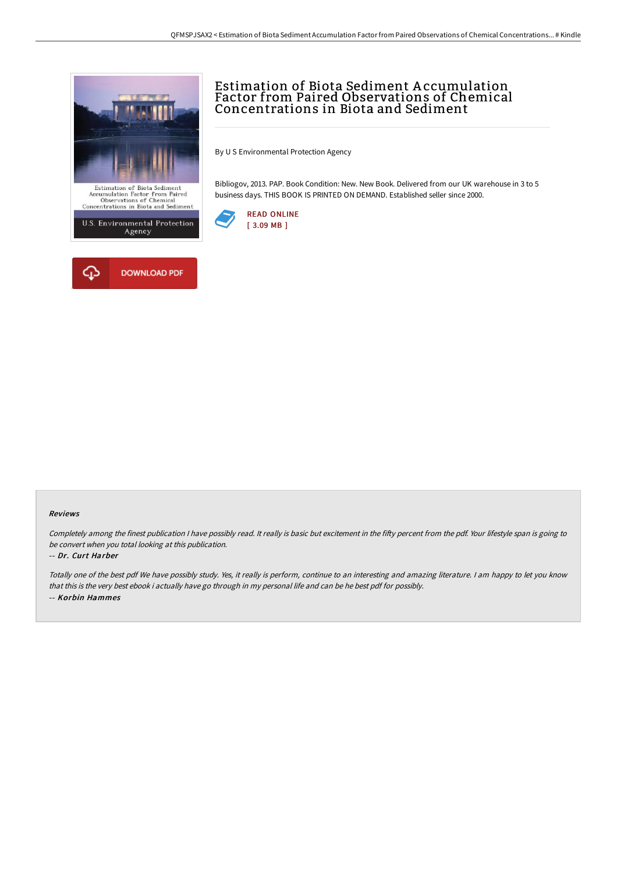



# Estimation of Biota Sediment A ccumulation Factor from Paired Observations of Chemical Concentrations in Biota and Sediment

By U S Environmental Protection Agency

Bibliogov, 2013. PAP. Book Condition: New. New Book. Delivered from our UK warehouse in 3 to 5 business days. THIS BOOK IS PRINTED ON DEMAND. Established seller since 2000.



#### Reviews

Completely among the finest publication I have possibly read. It really is basic but excitement in the fifty percent from the pdf. Your lifestyle span is going to be convert when you total looking at this publication.

#### -- Dr. Curt Harber

Totally one of the best pdf We have possibly study. Yes, it really is perform, continue to an interesting and amazing literature. <sup>I</sup> am happy to let you know that this is the very best ebook i actually have go through in my personal life and can be he best pdf for possibly. -- Korbin Hammes